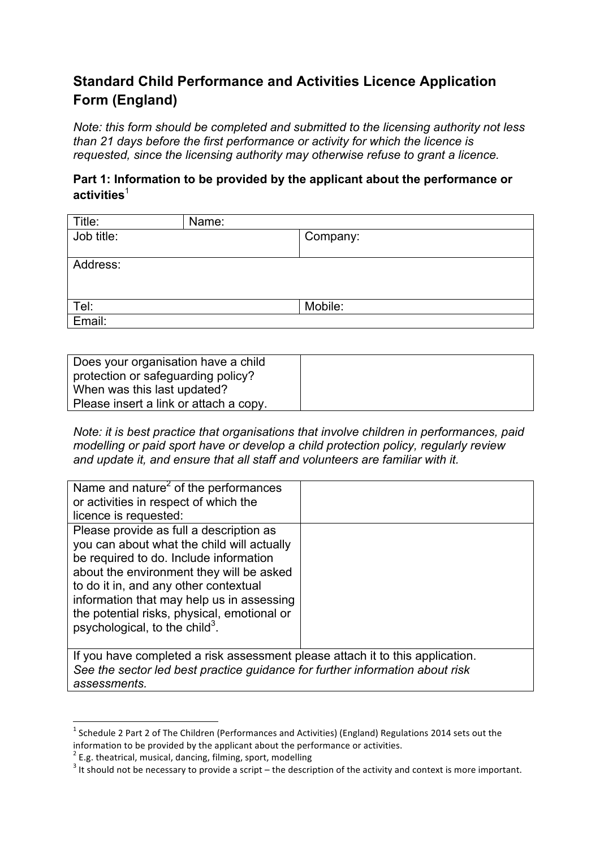# **Standard Child Performance and Activities Licence Application Form (England)**

*Note: this form should be completed and submitted to the licensing authority not less than 21 days before the first performance or activity for which the licence is requested, since the licensing authority may otherwise refuse to grant a licence.*

### **Part 1: Information to be provided by the applicant about the performance or activities**<sup>1</sup>

| Title:     | Name: |          |
|------------|-------|----------|
| Job title: |       | Company: |
|            |       |          |
| Address:   |       |          |
|            |       |          |
|            |       |          |
| Tel:       |       | Mobile:  |
| Email:     |       |          |

| Does your organisation have a child    |  |
|----------------------------------------|--|
|                                        |  |
| protection or safeguarding policy?     |  |
|                                        |  |
| When was this last updated?            |  |
|                                        |  |
| Please insert a link or attach a copy. |  |
|                                        |  |

*Note: it is best practice that organisations that involve children in performances, paid modelling or paid sport have or develop a child protection policy, regularly review and update it, and ensure that all staff and volunteers are familiar with it.* 

| Name and nature <sup>2</sup> of the performances                              |  |
|-------------------------------------------------------------------------------|--|
| or activities in respect of which the                                         |  |
| licence is requested:                                                         |  |
| Please provide as full a description as                                       |  |
| you can about what the child will actually                                    |  |
| be required to do. Include information                                        |  |
| about the environment they will be asked                                      |  |
| to do it in, and any other contextual                                         |  |
| information that may help us in assessing                                     |  |
| the potential risks, physical, emotional or                                   |  |
| psychological, to the child <sup>3</sup> .                                    |  |
|                                                                               |  |
| If you have completed a risk assessment please attach it to this application. |  |
| See the sector led best practice guidance for further information about risk  |  |

*assessments.* 

 $1$  Schedule 2 Part 2 of The Children (Performances and Activities) (England) Regulations 2014 sets out the information to be provided by the applicant about the performance or activities.<br>
<sup>2</sup> E.g. theatrical, musical, dancing, filming, sport, modelling

<sup>3</sup> It should not be necessary to provide a script – the description of the activity and context is more important.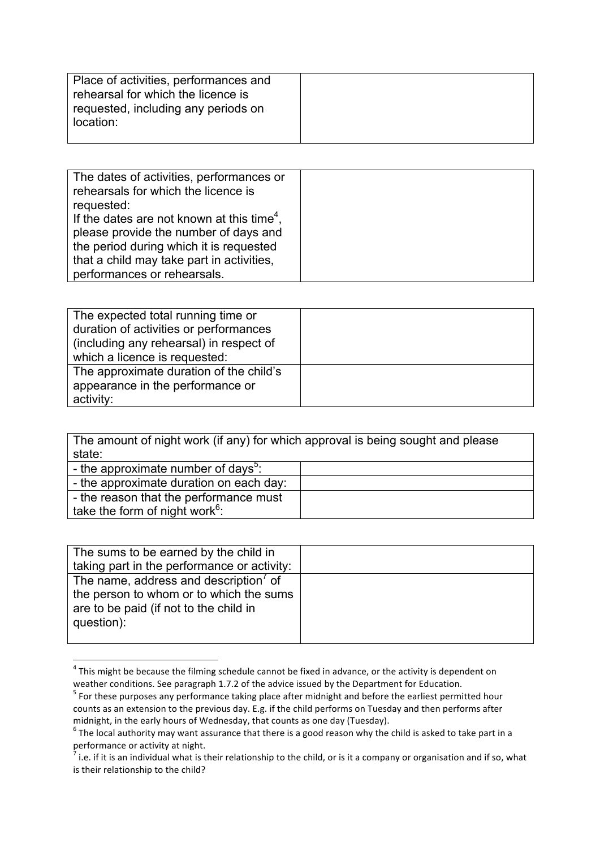| Place of activities, performances and<br>rehearsal for which the licence is<br>requested, including any periods on |  |
|--------------------------------------------------------------------------------------------------------------------|--|
| location:                                                                                                          |  |

| The dates of activities, performances or<br>rehearsals for which the licence is<br>requested:<br>If the dates are not known at this time <sup>4</sup> , |  |
|---------------------------------------------------------------------------------------------------------------------------------------------------------|--|
| please provide the number of days and<br>the period during which it is requested<br>that a child may take part in activities,                           |  |
| performances or rehearsals.                                                                                                                             |  |

| The expected total running time or      |  |
|-----------------------------------------|--|
| duration of activities or performances  |  |
| (including any rehearsal) in respect of |  |
| which a licence is requested:           |  |
| The approximate duration of the child's |  |
| appearance in the performance or        |  |
| activity:                               |  |

The amount of night work (if any) for which approval is being sought and please state:

| - the approximate number of days <sup>5</sup> : |  |
|-------------------------------------------------|--|
| - the approximate duration on each day:         |  |
| - the reason that the performance must          |  |
| take the form of night work <sup>6</sup> :      |  |

| The sums to be earned by the child in                                                           |  |
|-------------------------------------------------------------------------------------------------|--|
| taking part in the performance or activity:                                                     |  |
| The name, address and description <sup>7</sup> of                                               |  |
| the person to whom or to which the sums<br>are to be paid (if not to the child in<br>question): |  |
|                                                                                                 |  |

 $4$  This might be because the filming schedule cannot be fixed in advance, or the activity is dependent on weather conditions. See paragraph 1.7.2 of the advice issued by the Department for Education.

<u> 1989 - Jan Samuel Barbara, margaret e</u>

 $^5$  For these purposes any performance taking place after midnight and before the earliest permitted hour counts as an extension to the previous day. E.g. if the child performs on Tuesday and then performs after midnight, in the early hours of Wednesday, that counts as one day (Tuesday).<br>
<sup>6</sup> The local authority may want assurance that there is a good reason why the child is asked to take part in a

performance or activity at night.

 $\frac{1}{7}$  i.e. if it is an individual what is their relationship to the child, or is it a company or organisation and if so, what is their relationship to the child?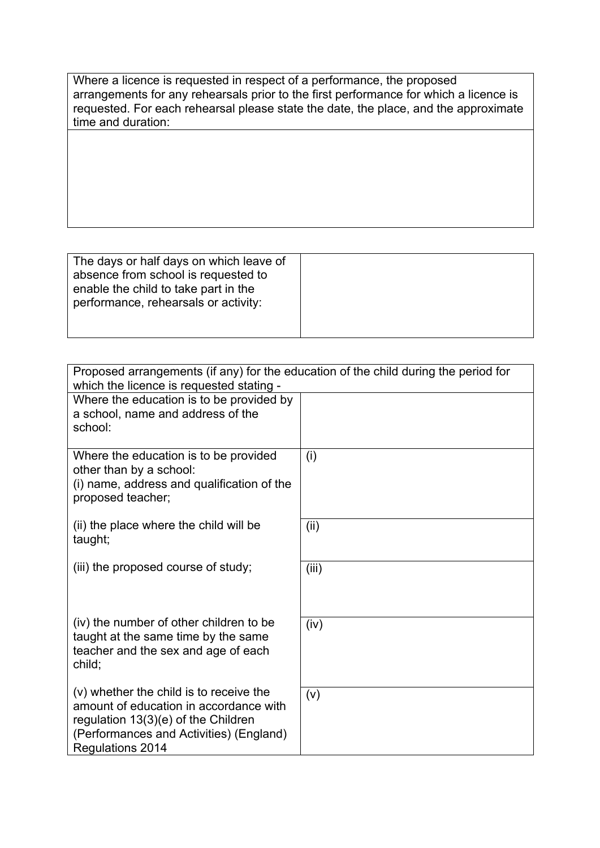Where a licence is requested in respect of a performance, the proposed arrangements for any rehearsals prior to the first performance for which a licence is requested. For each rehearsal please state the date, the place, and the approximate time and duration:

| The days or half days on which leave of<br>absence from school is requested to<br>enable the child to take part in the<br>performance, rehearsals or activity: |  |
|----------------------------------------------------------------------------------------------------------------------------------------------------------------|--|
|                                                                                                                                                                |  |

| Proposed arrangements (if any) for the education of the child during the period for<br>which the licence is requested stating -                                                         |       |
|-----------------------------------------------------------------------------------------------------------------------------------------------------------------------------------------|-------|
| Where the education is to be provided by<br>a school, name and address of the<br>school:                                                                                                |       |
| Where the education is to be provided<br>other than by a school:<br>(i) name, address and qualification of the<br>proposed teacher;                                                     | (i)   |
| (ii) the place where the child will be<br>taught;                                                                                                                                       | (ii)  |
| (iii) the proposed course of study;                                                                                                                                                     | (iii) |
| (iv) the number of other children to be<br>taught at the same time by the same<br>teacher and the sex and age of each<br>child;                                                         | (iv)  |
| (v) whether the child is to receive the<br>amount of education in accordance with<br>regulation 13(3)(e) of the Children<br>(Performances and Activities) (England)<br>Regulations 2014 | (v)   |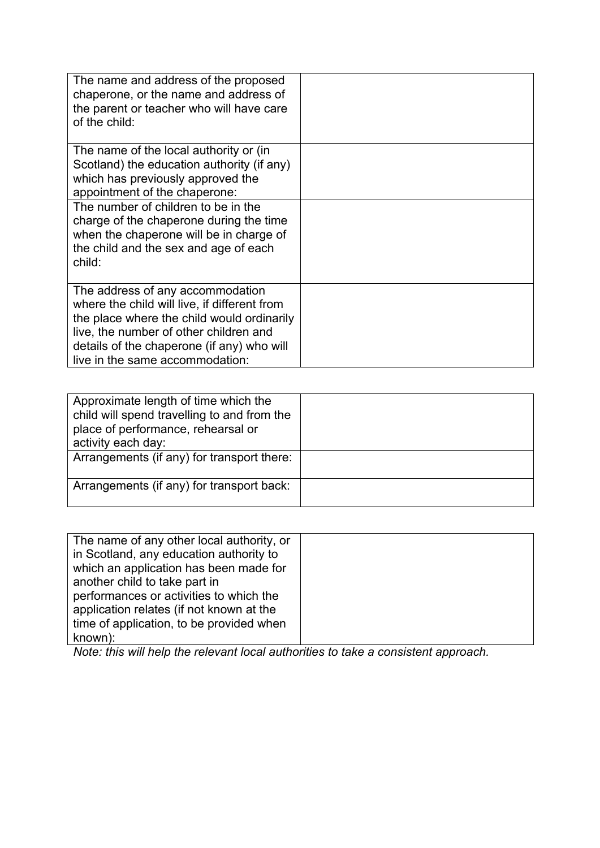| The name and address of the proposed<br>chaperone, or the name and address of<br>the parent or teacher who will have care<br>of the child:                                                                                                                |  |
|-----------------------------------------------------------------------------------------------------------------------------------------------------------------------------------------------------------------------------------------------------------|--|
| The name of the local authority or (in<br>Scotland) the education authority (if any)<br>which has previously approved the<br>appointment of the chaperone:                                                                                                |  |
| The number of children to be in the<br>charge of the chaperone during the time<br>when the chaperone will be in charge of<br>the child and the sex and age of each<br>child:                                                                              |  |
| The address of any accommodation<br>where the child will live, if different from<br>the place where the child would ordinarily<br>live, the number of other children and<br>details of the chaperone (if any) who will<br>live in the same accommodation: |  |

| Approximate length of time which the<br>child will spend travelling to and from the<br>place of performance, rehearsal or<br>activity each day:<br>Arrangements (if any) for transport there: |  |
|-----------------------------------------------------------------------------------------------------------------------------------------------------------------------------------------------|--|
| Arrangements (if any) for transport back:                                                                                                                                                     |  |

| The name of any other local authority, or |  |
|-------------------------------------------|--|
| in Scotland, any education authority to   |  |
| which an application has been made for    |  |
| another child to take part in             |  |
| performances or activities to which the   |  |
| application relates (if not known at the  |  |
| time of application, to be provided when  |  |
| known):                                   |  |

*Note: this will help the relevant local authorities to take a consistent approach.*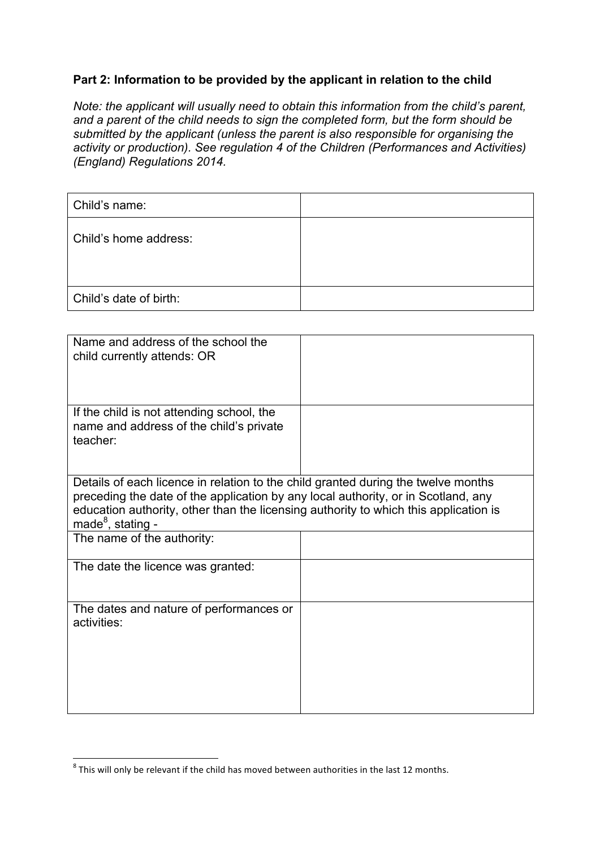#### **Part 2: Information to be provided by the applicant in relation to the child**

*Note: the applicant will usually need to obtain this information from the child's parent, and a parent of the child needs to sign the completed form, but the form should be submitted by the applicant (unless the parent is also responsible for organising the activity or production). See regulation 4 of the Children (Performances and Activities) (England) Regulations 2014.* 

| Child's name:          |  |
|------------------------|--|
| Child's home address:  |  |
| Child's date of birth: |  |

| Name and address of the school the<br>child currently attends: OR                                                                                                                                                                                                                               |  |
|-------------------------------------------------------------------------------------------------------------------------------------------------------------------------------------------------------------------------------------------------------------------------------------------------|--|
| If the child is not attending school, the<br>name and address of the child's private<br>teacher:                                                                                                                                                                                                |  |
| Details of each licence in relation to the child granted during the twelve months<br>preceding the date of the application by any local authority, or in Scotland, any<br>education authority, other than the licensing authority to which this application is<br>made <sup>8</sup> , stating - |  |
| The name of the authority:                                                                                                                                                                                                                                                                      |  |
| The date the licence was granted:                                                                                                                                                                                                                                                               |  |
| The dates and nature of performances or<br>activities:                                                                                                                                                                                                                                          |  |

 

 $^8$  This will only be relevant if the child has moved between authorities in the last 12 months.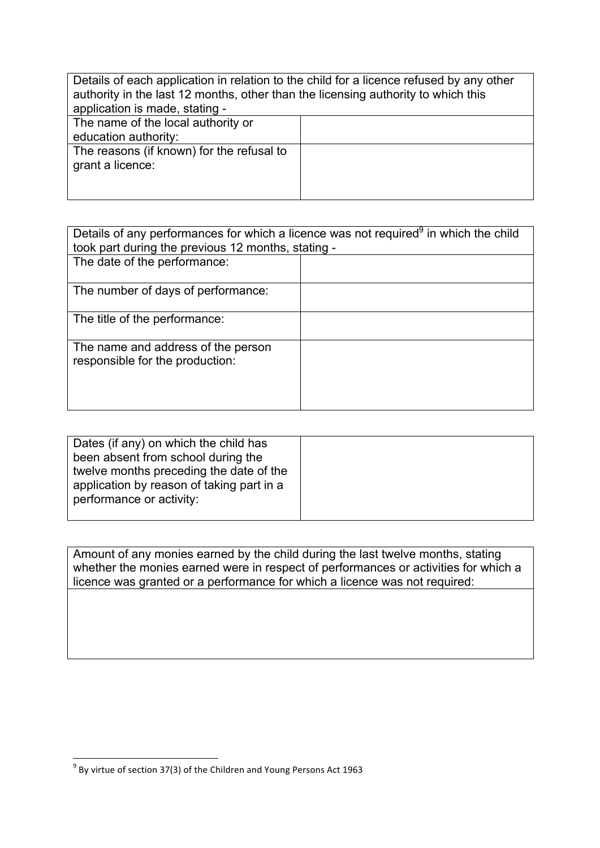| Details of each application in relation to the child for a licence refused by any other<br>authority in the last 12 months, other than the licensing authority to which this<br>application is made, stating - |  |
|----------------------------------------------------------------------------------------------------------------------------------------------------------------------------------------------------------------|--|
| The name of the local authority or                                                                                                                                                                             |  |
| education authority:                                                                                                                                                                                           |  |
| The reasons (if known) for the refusal to                                                                                                                                                                      |  |
| grant a licence:                                                                                                                                                                                               |  |
|                                                                                                                                                                                                                |  |
|                                                                                                                                                                                                                |  |

| Details of any performances for which a licence was not required <sup>9</sup> in which the child |  |  |
|--------------------------------------------------------------------------------------------------|--|--|
| took part during the previous 12 months, stating -                                               |  |  |
|                                                                                                  |  |  |
|                                                                                                  |  |  |
|                                                                                                  |  |  |
|                                                                                                  |  |  |
|                                                                                                  |  |  |
|                                                                                                  |  |  |

| Dates (if any) on which the child has     |  |
|-------------------------------------------|--|
| been absent from school during the        |  |
| twelve months preceding the date of the   |  |
| application by reason of taking part in a |  |
| performance or activity:                  |  |
|                                           |  |

Amount of any monies earned by the child during the last twelve months, stating whether the monies earned were in respect of performances or activities for which a licence was granted or a performance for which a licence was not required:

 

 $^9$  By virtue of section 37(3) of the Children and Young Persons Act 1963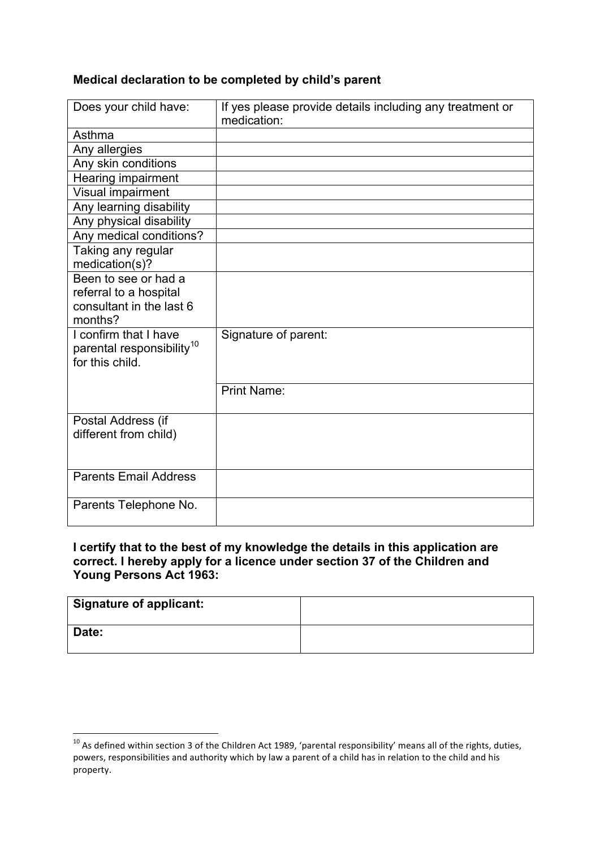#### **Medical declaration to be completed by child's parent**

| Does your child have:                                                                 | If yes please provide details including any treatment or<br>medication: |
|---------------------------------------------------------------------------------------|-------------------------------------------------------------------------|
| Asthma                                                                                |                                                                         |
| Any allergies                                                                         |                                                                         |
| Any skin conditions                                                                   |                                                                         |
| Hearing impairment                                                                    |                                                                         |
| Visual impairment                                                                     |                                                                         |
| Any learning disability                                                               |                                                                         |
| Any physical disability                                                               |                                                                         |
| Any medical conditions?                                                               |                                                                         |
| Taking any regular<br>medication(s)?                                                  |                                                                         |
| Been to see or had a<br>referral to a hospital<br>consultant in the last 6<br>months? |                                                                         |
| I confirm that I have<br>parental responsibility <sup>10</sup><br>for this child.     | Signature of parent:                                                    |
|                                                                                       | <b>Print Name:</b>                                                      |
| Postal Address (if<br>different from child)                                           |                                                                         |
| <b>Parents Email Address</b>                                                          |                                                                         |
| Parents Telephone No.                                                                 |                                                                         |

#### **I certify that to the best of my knowledge the details in this application are correct. I hereby apply for a licence under section 37 of the Children and Young Persons Act 1963:**

| <b>Signature of applicant:</b> |  |
|--------------------------------|--|
| Date:                          |  |

<u> 1989 - Jan Samuel Barbara, margaret e</u>

 $^{10}$  As defined within section 3 of the Children Act 1989, 'parental responsibility' means all of the rights, duties, powers, responsibilities and authority which by law a parent of a child has in relation to the child and his property.